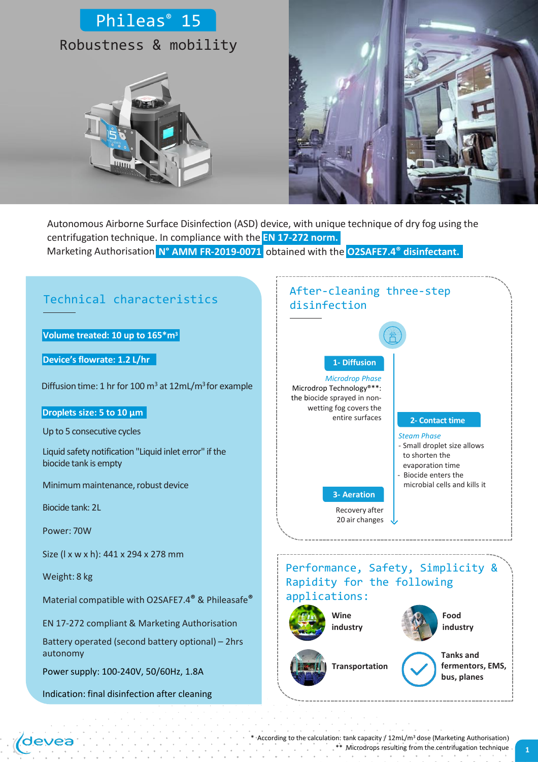# Phileas® 15 Robustness & mobility





Marketing Authorisation **N° AMM FR-2019-0071** obtained with the **O2SAFE7.4® disinfectant.**Autonomous Airborne Surface Disinfection (ASD) device, with unique technique of dry fog using the centrifugation technique. In compliance with the **EN 17-272 norm.**